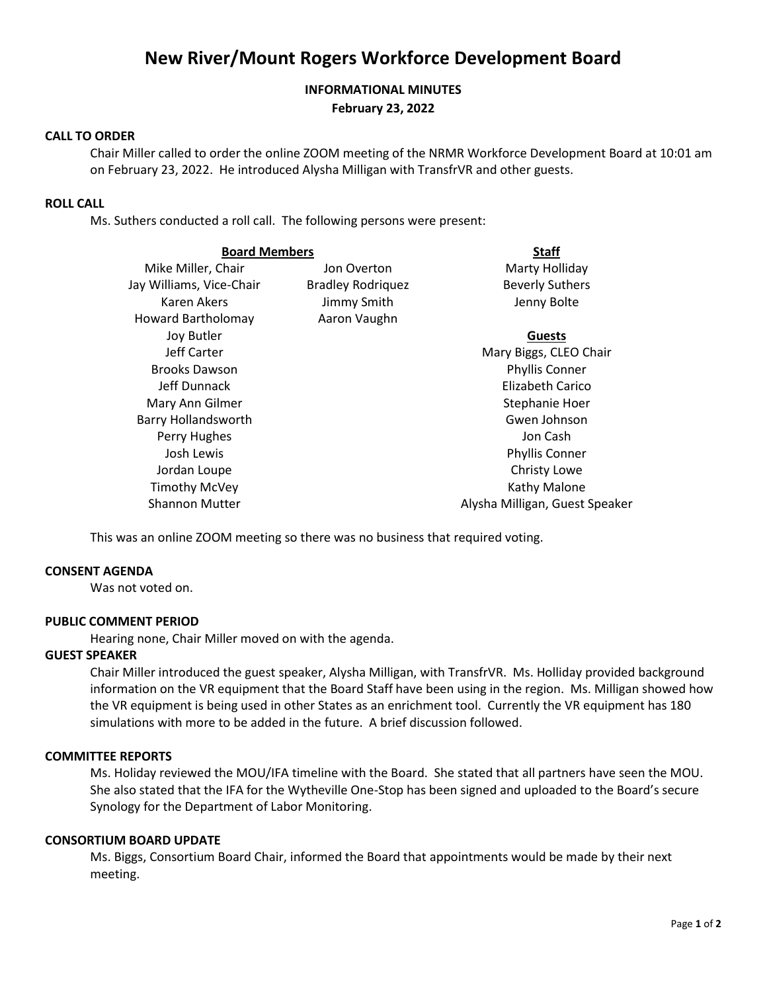# **New River/Mount Rogers Workforce Development Board**

# **INFORMATIONAL MINUTES February 23, 2022**

#### **CALL TO ORDER**

Chair Miller called to order the online ZOOM meeting of the NRMR Workforce Development Board at 10:01 am on February 23, 2022. He introduced Alysha Milligan with TransfrVR and other guests.

#### **ROLL CALL**

Ms. Suthers conducted a roll call. The following persons were present:

| <b>Board Members</b>       |                          | <b>Staff</b>                   |
|----------------------------|--------------------------|--------------------------------|
| Mike Miller, Chair         | Jon Overton              | Marty Holliday                 |
| Jay Williams, Vice-Chair   | <b>Bradley Rodriguez</b> | <b>Beverly Suthers</b>         |
| Karen Akers                | Jimmy Smith              | Jenny Bolte                    |
| Howard Bartholomay         | Aaron Vaughn             |                                |
| Joy Butler                 |                          | <b>Guests</b>                  |
| Jeff Carter                |                          | Mary Biggs, CLEO Chair         |
| <b>Brooks Dawson</b>       |                          | Phyllis Conner                 |
| Jeff Dunnack               |                          | Elizabeth Carico               |
| Mary Ann Gilmer            |                          | <b>Stephanie Hoer</b>          |
| <b>Barry Hollandsworth</b> |                          | Gwen Johnson                   |
| Perry Hughes               |                          | Jon Cash                       |
| Josh Lewis                 |                          | <b>Phyllis Conner</b>          |
| Jordan Loupe               |                          | Christy Lowe                   |
| <b>Timothy McVey</b>       |                          | Kathy Malone                   |
| <b>Shannon Mutter</b>      |                          | Alysha Milligan, Guest Speaker |

This was an online ZOOM meeting so there was no business that required voting.

# **CONSENT AGENDA**

Was not voted on.

#### **PUBLIC COMMENT PERIOD**

Hearing none, Chair Miller moved on with the agenda.

#### **GUEST SPEAKER**

Chair Miller introduced the guest speaker, Alysha Milligan, with TransfrVR. Ms. Holliday provided background information on the VR equipment that the Board Staff have been using in the region. Ms. Milligan showed how the VR equipment is being used in other States as an enrichment tool. Currently the VR equipment has 180 simulations with more to be added in the future. A brief discussion followed.

#### **COMMITTEE REPORTS**

Ms. Holiday reviewed the MOU/IFA timeline with the Board. She stated that all partners have seen the MOU. She also stated that the IFA for the Wytheville One-Stop has been signed and uploaded to the Board's secure Synology for the Department of Labor Monitoring.

#### **CONSORTIUM BOARD UPDATE**

Ms. Biggs, Consortium Board Chair, informed the Board that appointments would be made by their next meeting.